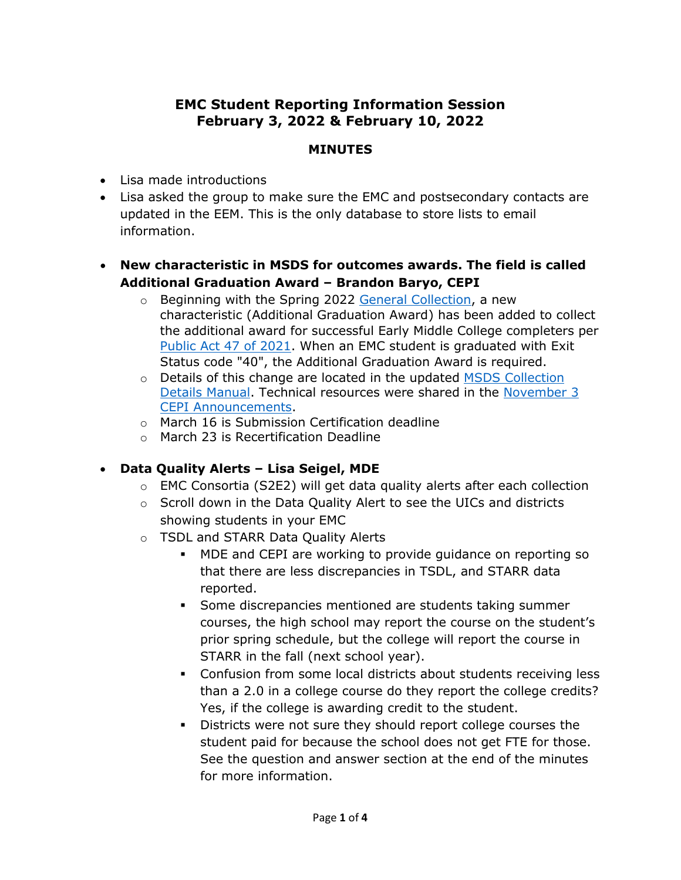# **EMC Student Reporting Information Session February 3, 2022 & February 10, 2022**

### **MINUTES**

- Lisa made introductions
- Lisa asked the group to make sure the EMC and postsecondary contacts are updated in the EEM. This is the only database to store lists to email information.
- **New characteristic in MSDS for outcomes awards. The field is called Additional Graduation Award – Brandon Baryo, CEPI**
	- o Beginning with the Spring 2022 [General Collection,](https://www.michigan.gov/cepi/0,4546,7-113-986_50502_53580---,00.html) a new characteristic (Additional Graduation Award) has been added to collect the additional award for successful Early Middle College completers per [Public Act 47 of 2021.](http://legislature.mi.gov/doc.aspx?2021-HB-4411) When an EMC student is graduated with Exit Status code "40", the Additional Graduation Award is required.
	- o Details of this change are located in the updated [MSDS Collection](https://www.michigan.gov/documents/cepi/Collection_Details_SY21-22v1_725145_7.pdf)  [Details Manual.](https://www.michigan.gov/documents/cepi/Collection_Details_SY21-22v1_725145_7.pdf) Technical resources were shared in the [November 3](https://content.govdelivery.com/accounts/MICEPI/bulletins/2f94435)  [CEPI Announcements.](https://content.govdelivery.com/accounts/MICEPI/bulletins/2f94435)
	- o March 16 is Submission Certification deadline
	- o March 23 is Recertification Deadline

### • **Data Quality Alerts – Lisa Seigel, MDE**

- $\circ$  EMC Consortia (S2E2) will get data quality alerts after each collection
- o Scroll down in the Data Quality Alert to see the UICs and districts showing students in your EMC
- o TSDL and STARR Data Quality Alerts
	- MDE and CEPI are working to provide guidance on reporting so that there are less discrepancies in TSDL, and STARR data reported.
	- Some discrepancies mentioned are students taking summer courses, the high school may report the course on the student's prior spring schedule, but the college will report the course in STARR in the fall (next school year).
	- Confusion from some local districts about students receiving less than a 2.0 in a college course do they report the college credits? Yes, if the college is awarding credit to the student.
	- Districts were not sure they should report college courses the student paid for because the school does not get FTE for those. See the question and answer section at the end of the minutes for more information.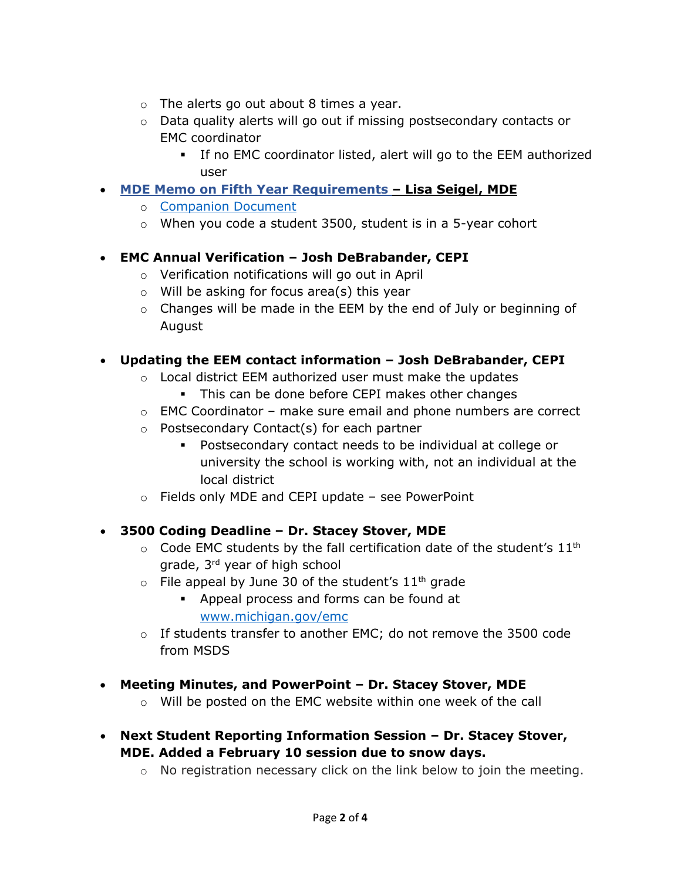- o The alerts go out about 8 times a year.
- o Data quality alerts will go out if missing postsecondary contacts or EMC coordinator
	- If no EMC coordinator listed, alert will go to the EEM authorized user
- **[MDE Memo on Fifth Year Requirements](https://www.michigan.gov/documents/mde/Public_Comment_DLP_2S1_and_2S2_738398_7.pdf) Lisa Seigel, MDE**
	- o [Companion Document](https://www.michigan.gov/documents/mde/5th_Year_EMC_Pupil_Membership_Companion_Doc_pdf_744333_7.pdf)
	- o When you code a student 3500, student is in a 5-year cohort
- **EMC Annual Verification Josh DeBrabander, CEPI**
	- o Verification notifications will go out in April
	- o Will be asking for focus area(s) this year
	- o Changes will be made in the EEM by the end of July or beginning of August
- **Updating the EEM contact information Josh DeBrabander, CEPI**
	- $\circ$  Local district EEM authorized user must make the updates
		- This can be done before CEPI makes other changes
	- $\circ$  EMC Coordinator make sure email and phone numbers are correct
	- o Postsecondary Contact(s) for each partner
		- Postsecondary contact needs to be individual at college or university the school is working with, not an individual at the local district
	- o Fields only MDE and CEPI update see PowerPoint
- **3500 Coding Deadline Dr. Stacey Stover, MDE**
	- $\circ$  Code EMC students by the fall certification date of the student's  $11<sup>th</sup>$ grade, 3rd year of high school
	- $\circ$  File appeal by June 30 of the student's 11<sup>th</sup> grade
		- Appeal process and forms can be found at [www.michigan.gov/emc](http://www.michigan.gov/emc)
	- o If students transfer to another EMC; do not remove the 3500 code from MSDS
- **Meeting Minutes, and PowerPoint Dr. Stacey Stover, MDE**
	- o Will be posted on the EMC website within one week of the call
- **Next Student Reporting Information Session Dr. Stacey Stover, MDE. Added a February 10 session due to snow days.** 
	- $\circ$  No registration necessary click on the link below to join the meeting.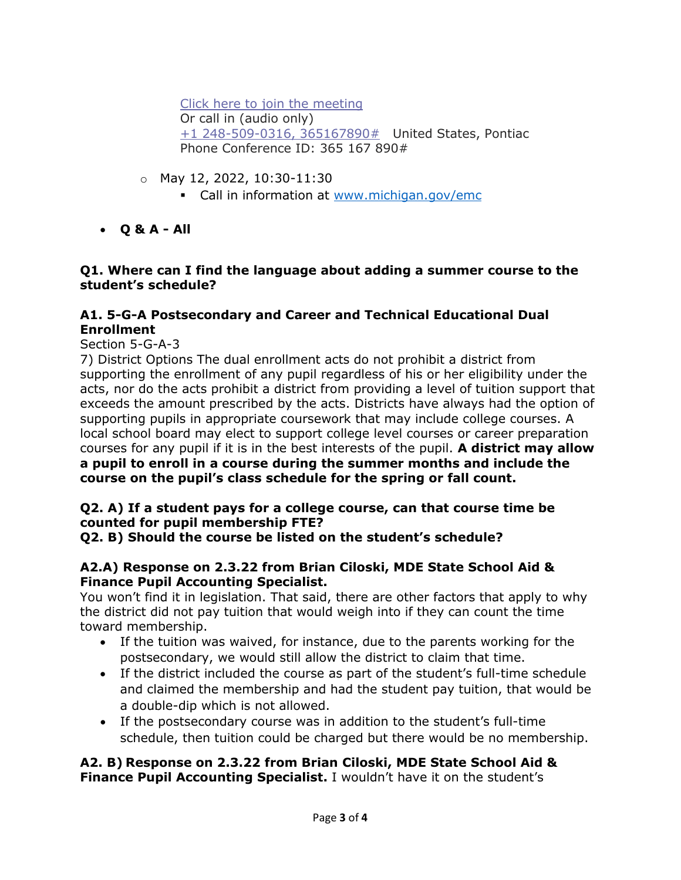[Click here to join the meeting](https://teams.microsoft.com/l/meetup-join/19%3ameeting_NjhkYmVhODItMjBlYi00ZWU1LTk5NDktMDZmNDM3NTk0MDVi%40thread.v2/0?context=%7b%22Tid%22%3a%22d5fb7087-3777-42ad-966a-892ef47225d1%22%2c%22Oid%22%3a%2219686424-ab7f-4e0d-9d17-bb7fbe46436a%22%7d)  Or call in (audio only) [+1 248-509-0316, 365167890#](tel:+12485090316,,365167890#%20) United States, Pontiac Phone Conference ID: 365 167 890#

- o May 12, 2022, 10:30-11:30
	- Call in information at www.michigan.gov/emc
- **Q & A All**

#### **Q1. Where can I find the language about adding a summer course to the student's schedule?**

### **A1. 5-G-A Postsecondary and Career and Technical Educational Dual Enrollment**

Section 5-G-A-3

7) District Options The dual enrollment acts do not prohibit a district from supporting the enrollment of any pupil regardless of his or her eligibility under the acts, nor do the acts prohibit a district from providing a level of tuition support that exceeds the amount prescribed by the acts. Districts have always had the option of supporting pupils in appropriate coursework that may include college courses. A local school board may elect to support college level courses or career preparation courses for any pupil if it is in the best interests of the pupil. **A district may allow a pupil to enroll in a course during the summer months and include the course on the pupil's class schedule for the spring or fall count.**

## **Q2. A) If a student pays for a college course, can that course time be counted for pupil membership FTE?**

**Q2. B) Should the course be listed on the student's schedule?**

### **A2.A) Response on 2.3.22 from Brian Ciloski, MDE State School Aid & Finance Pupil Accounting Specialist.**

You won't find it in legislation. That said, there are other factors that apply to why the district did not pay tuition that would weigh into if they can count the time toward membership.

- If the tuition was waived, for instance, due to the parents working for the postsecondary, we would still allow the district to claim that time.
- If the district included the course as part of the student's full-time schedule and claimed the membership and had the student pay tuition, that would be a double-dip which is not allowed.
- If the postsecondary course was in addition to the student's full-time schedule, then tuition could be charged but there would be no membership.

### **A2. B) Response on 2.3.22 from Brian Ciloski, MDE State School Aid & Finance Pupil Accounting Specialist.** I wouldn't have it on the student's